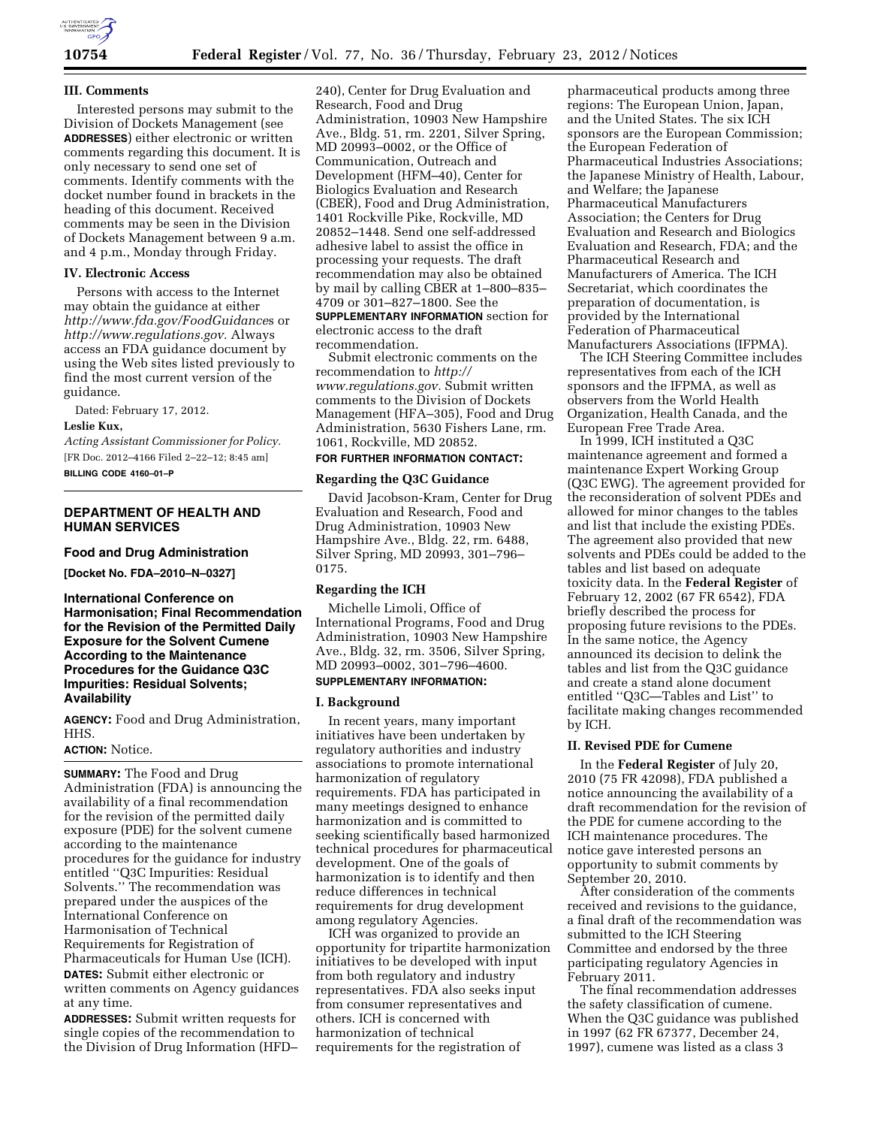

## **III. Comments**

Interested persons may submit to the Division of Dockets Management (see **ADDRESSES**) either electronic or written comments regarding this document. It is only necessary to send one set of comments. Identify comments with the docket number found in brackets in the heading of this document. Received comments may be seen in the Division of Dockets Management between 9 a.m. and 4 p.m., Monday through Friday.

## **IV. Electronic Access**

Persons with access to the Internet may obtain the guidance at either *http://www.fda.gov/FoodGuidance*s or *http://www.regulations.gov.* Always access an FDA guidance document by using the Web sites listed previously to find the most current version of the guidance.

Dated: February 17, 2012.

#### **Leslie Kux,**

*Acting Assistant Commissioner for Policy.*  [FR Doc. 2012–4166 Filed 2–22–12; 8:45 am] **BILLING CODE 4160–01–P** 

# **DEPARTMENT OF HEALTH AND HUMAN SERVICES**

#### **Food and Drug Administration**

**[Docket No. FDA–2010–N–0327]** 

**International Conference on Harmonisation; Final Recommendation for the Revision of the Permitted Daily Exposure for the Solvent Cumene According to the Maintenance Procedures for the Guidance Q3C Impurities: Residual Solvents; Availability** 

**AGENCY:** Food and Drug Administration, HHS.

## **ACTION:** Notice.

**SUMMARY:** The Food and Drug Administration (FDA) is announcing the availability of a final recommendation for the revision of the permitted daily exposure (PDE) for the solvent cumene according to the maintenance procedures for the guidance for industry entitled ''Q3C Impurities: Residual Solvents.'' The recommendation was prepared under the auspices of the International Conference on Harmonisation of Technical Requirements for Registration of Pharmaceuticals for Human Use (ICH). **DATES:** Submit either electronic or

written comments on Agency guidances at any time.

**ADDRESSES:** Submit written requests for single copies of the recommendation to the Division of Drug Information (HFD–

240), Center for Drug Evaluation and Research, Food and Drug Administration, 10903 New Hampshire Ave., Bldg. 51, rm. 2201, Silver Spring, MD 20993–0002, or the Office of Communication, Outreach and Development (HFM–40), Center for Biologics Evaluation and Research (CBER), Food and Drug Administration, 1401 Rockville Pike, Rockville, MD 20852–1448. Send one self-addressed adhesive label to assist the office in processing your requests. The draft recommendation may also be obtained by mail by calling CBER at 1–800–835– 4709 or 301–827–1800. See the

**SUPPLEMENTARY INFORMATION** section for electronic access to the draft recommendation.

Submit electronic comments on the recommendation to *http:// www.regulations.gov.* Submit written comments to the Division of Dockets Management (HFA–305), Food and Drug Administration, 5630 Fishers Lane, rm. 1061, Rockville, MD 20852.

## **FOR FURTHER INFORMATION CONTACT:**

# **Regarding the Q3C Guidance**

David Jacobson-Kram, Center for Drug Evaluation and Research, Food and Drug Administration, 10903 New Hampshire Ave., Bldg. 22, rm. 6488, Silver Spring, MD 20993, 301–796– 0175.

## **Regarding the ICH**

Michelle Limoli, Office of International Programs, Food and Drug Administration, 10903 New Hampshire Ave., Bldg. 32, rm. 3506, Silver Spring, MD 20993–0002, 301–796–4600.

# **SUPPLEMENTARY INFORMATION:**

# **I. Background**

In recent years, many important initiatives have been undertaken by regulatory authorities and industry associations to promote international harmonization of regulatory requirements. FDA has participated in many meetings designed to enhance harmonization and is committed to seeking scientifically based harmonized technical procedures for pharmaceutical development. One of the goals of harmonization is to identify and then reduce differences in technical requirements for drug development among regulatory Agencies.

ICH was organized to provide an opportunity for tripartite harmonization initiatives to be developed with input from both regulatory and industry representatives. FDA also seeks input from consumer representatives and others. ICH is concerned with harmonization of technical requirements for the registration of

pharmaceutical products among three regions: The European Union, Japan, and the United States. The six ICH sponsors are the European Commission; the European Federation of Pharmaceutical Industries Associations; the Japanese Ministry of Health, Labour, and Welfare; the Japanese Pharmaceutical Manufacturers Association; the Centers for Drug Evaluation and Research and Biologics Evaluation and Research, FDA; and the Pharmaceutical Research and Manufacturers of America. The ICH Secretariat, which coordinates the preparation of documentation, is provided by the International Federation of Pharmaceutical Manufacturers Associations (IFPMA).

The ICH Steering Committee includes representatives from each of the ICH sponsors and the IFPMA, as well as observers from the World Health Organization, Health Canada, and the European Free Trade Area.

In 1999, ICH instituted a Q3C maintenance agreement and formed a maintenance Expert Working Group (Q3C EWG). The agreement provided for the reconsideration of solvent PDEs and allowed for minor changes to the tables and list that include the existing PDEs. The agreement also provided that new solvents and PDEs could be added to the tables and list based on adequate toxicity data. In the **Federal Register** of February 12, 2002 (67 FR 6542), FDA briefly described the process for proposing future revisions to the PDEs. In the same notice, the Agency announced its decision to delink the tables and list from the Q3C guidance and create a stand alone document entitled ''Q3C—Tables and List'' to facilitate making changes recommended by ICH.

#### **II. Revised PDE for Cumene**

In the **Federal Register** of July 20, 2010 (75 FR 42098), FDA published a notice announcing the availability of a draft recommendation for the revision of the PDE for cumene according to the ICH maintenance procedures. The notice gave interested persons an opportunity to submit comments by September 20, 2010.

After consideration of the comments received and revisions to the guidance, a final draft of the recommendation was submitted to the ICH Steering Committee and endorsed by the three participating regulatory Agencies in February 2011.

The final recommendation addresses the safety classification of cumene. When the Q3C guidance was published in 1997 (62 FR 67377, December 24, 1997), cumene was listed as a class 3